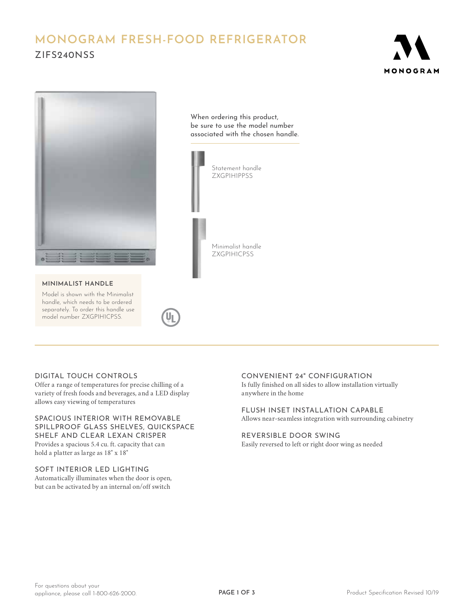# **MONOGRAM FRESH-FOOD REFRIGERATOR** ZIFS240NSS





#### **MINIMALIST HANDLE**

Model is shown with the Minimalist handle, which needs to be ordered separately. To order this handle use model number ZXGP1H1CPSS.

When ordering this product, be sure to use the model number associated with the chosen handle.



# DIGITAL TOUCH CONTROLS

Offer a range of temperatures for precise chilling of a variety of fresh foods and beverages, and a LED display allows easy viewing of temperatures

# SPACIOUS INTERIOR WITH REMOVABLE SPILLPROOF GLASS SHELVES, QUICKSPACE SHELF AND CLEAR LEXAN CRISPER Provides a spacious 5.4 cu. ft. capacity that can hold a platter as large as 18" x 18"

# SOFT INTERIOR LED LIGHTING

Automatically illuminates when the door is open, but can be activated by an internal on/off switch

#### CONVENIENT 24" CONFIGURATION

Is fully finished on all sides to allow installation virtually anywhere in the home

FLUSH INSET INSTALLATION CAPABLE Allows near-seamless integration with surrounding cabinetry

#### REVERSIBLE DOOR SWING Easily reversed to left or right door wing as needed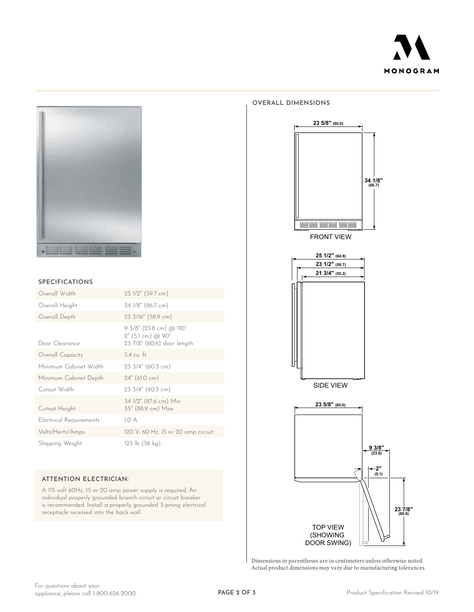



#### **SPECIFICATIONS**

| Overall Width           | 23 1/2" (59.7 cm)                                                                                    |
|-------------------------|------------------------------------------------------------------------------------------------------|
| Overall Height          | 34 1/8" (86.7 cm)                                                                                    |
| Overall Depth           | 23 3/16" (58.9 cm)                                                                                   |
| Door Clearance          | 9 3/8" (23.8 cm) @ 110°<br>$2^{\prime\prime}$ (5.1 cm) @ 90 $^{\circ}$<br>23 7/8" (60.6) door length |
| Overall Capacity        | $5.4 \text{ cu}$ . ft.                                                                               |
| Minimum Cabinet Width   | $23.3/4$ " (60.3 cm)                                                                                 |
| Minimum Cabinet Depth   | $24"$ (61.0 cm)                                                                                      |
| Cutout Width            | 23 3/4" (60.3 cm)                                                                                    |
| Cutout Height           | 34 1/2" (87.6 cm) Min<br>35" (88.9 cm) Max                                                           |
| Electrical Requirements | 1.O A                                                                                                |
| Voltz/Hertz/Amps        | 120 V, 60 Hz, 15 or 20 amp circuit                                                                   |
| Shipping Weight         | $123 \text{ lb} (56 \text{ kg})$                                                                     |

### **ATTENTION ELECTRICIAN:**

A 115 volt 60Hz, 15 or 20 amp power supply is required. An individual properly grounded branch circuit or circuit breaker is recommended. Install a properly grounded 3-prong electrical receptacle recessed into the back wall.

#### **OVERALL DIMENSIONS**



SIDE VIEW **21 3/4" (55.2) 23 1/2" (59.7) 25 1/2" (64.8)**



Dimensions in parentheses are in centimeters unless otherwise noted. Actual product dimensions may vary due to manufacturing tolerances.